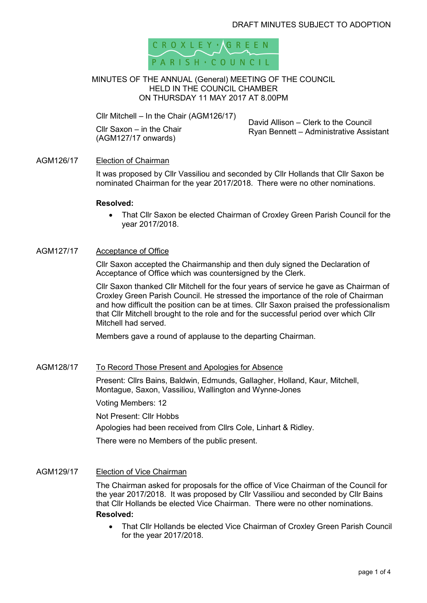

#### MINUTES OF THE ANNUAL (General) MEETING OF THE COUNCIL HELD IN THE COUNCIL CHAMBER ON THURSDAY 11 MAY 2017 AT 8.00PM

Cllr Mitchell – In the Chair (AGM126/17)

Cllr Saxon – in the Chair (AGM127/17 onwards)

David Allison – Clerk to the Council Ryan Bennett – Administrative Assistant

## AGM126/17 Election of Chairman

It was proposed by Cllr Vassiliou and seconded by Cllr Hollands that Cllr Saxon be nominated Chairman for the year 2017/2018. There were no other nominations.

#### **Resolved:**

• That Cllr Saxon be elected Chairman of Croxley Green Parish Council for the year 2017/2018.

#### AGM127/17 Acceptance of Office

Cllr Saxon accepted the Chairmanship and then duly signed the Declaration of Acceptance of Office which was countersigned by the Clerk.

Cllr Saxon thanked Cllr Mitchell for the four years of service he gave as Chairman of Croxley Green Parish Council. He stressed the importance of the role of Chairman and how difficult the position can be at times. Cllr Saxon praised the professionalism that Cllr Mitchell brought to the role and for the successful period over which Cllr Mitchell had served.

Members gave a round of applause to the departing Chairman.

## AGM128/17 To Record Those Present and Apologies for Absence

Present: Cllrs Bains, Baldwin, Edmunds, Gallagher, Holland, Kaur, Mitchell, Montague, Saxon, Vassiliou, Wallington and Wynne-Jones

Voting Members: 12

Not Present: Cllr Hobbs

Apologies had been received from Cllrs Cole, Linhart & Ridley.

There were no Members of the public present.

#### AGM129/17 Election of Vice Chairman

The Chairman asked for proposals for the office of Vice Chairman of the Council for the year 2017/2018. It was proposed by Cllr Vassiliou and seconded by Cllr Bains that Cllr Hollands be elected Vice Chairman. There were no other nominations. **Resolved:** 

• That Cllr Hollands be elected Vice Chairman of Croxley Green Parish Council for the year 2017/2018.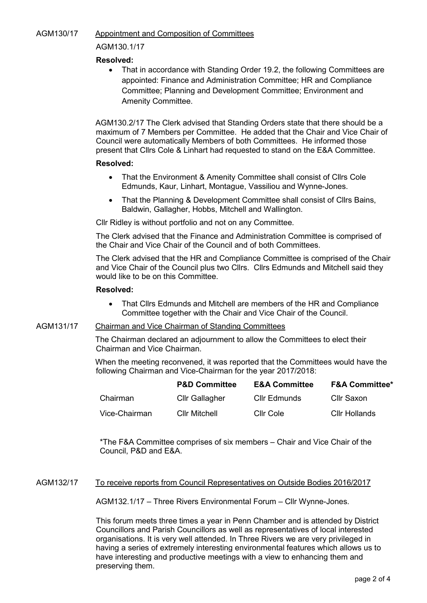# AGM130/17 Appointment and Composition of Committees

## AGM130.1/17

# **Resolved:**

• That in accordance with Standing Order 19.2, the following Committees are appointed: Finance and Administration Committee; HR and Compliance Committee; Planning and Development Committee; Environment and Amenity Committee.

 AGM130.2/17 The Clerk advised that Standing Orders state that there should be a maximum of 7 Members per Committee. He added that the Chair and Vice Chair of Council were automatically Members of both Committees. He informed those present that Cllrs Cole & Linhart had requested to stand on the E&A Committee.

## **Resolved:**

- That the Environment & Amenity Committee shall consist of Cllrs Cole Edmunds, Kaur, Linhart, Montague, Vassiliou and Wynne-Jones.
- That the Planning & Development Committee shall consist of Cllrs Bains, Baldwin, Gallagher, Hobbs, Mitchell and Wallington.

Cllr Ridley is without portfolio and not on any Committee.

The Clerk advised that the Finance and Administration Committee is comprised of the Chair and Vice Chair of the Council and of both Committees.

The Clerk advised that the HR and Compliance Committee is comprised of the Chair and Vice Chair of the Council plus two Cllrs. Cllrs Edmunds and Mitchell said they would like to be on this Committee.

## **Resolved:**

• That Cllrs Edmunds and Mitchell are members of the HR and Compliance Committee together with the Chair and Vice Chair of the Council.

# AGM131/17 Chairman and Vice Chairman of Standing Committees

The Chairman declared an adjournment to allow the Committees to elect their Chairman and Vice Chairman.

When the meeting reconvened, it was reported that the Committees would have the following Chairman and Vice-Chairman for the year 2017/2018:

|               | <b>P&amp;D Committee</b> | <b>E&amp;A Committee</b> | <b>F&amp;A Committee*</b> |
|---------------|--------------------------|--------------------------|---------------------------|
| Chairman      | <b>Cllr Gallagher</b>    | Cllr Edmunds             | Cllr Saxon                |
| Vice-Chairman | <b>Cllr Mitchell</b>     | Cllr Cole                | <b>CIIr Hollands</b>      |

\*The F&A Committee comprises of six members – Chair and Vice Chair of the Council, P&D and E&A.

## AGM132/17 To receive reports from Council Representatives on Outside Bodies 2016/2017

AGM132.1/17 – Three Rivers Environmental Forum – Cllr Wynne-Jones.

This forum meets three times a year in Penn Chamber and is attended by District Councillors and Parish Councillors as well as representatives of local interested organisations. It is very well attended. In Three Rivers we are very privileged in having a series of extremely interesting environmental features which allows us to have interesting and productive meetings with a view to enhancing them and preserving them.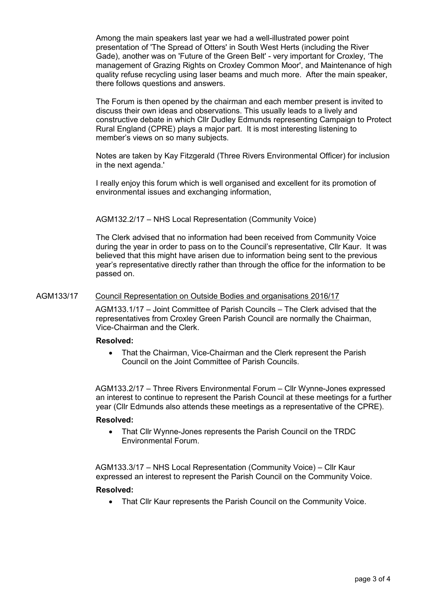Among the main speakers last year we had a well-illustrated power point presentation of 'The Spread of Otters' in South West Herts (including the River Gade), another was on 'Future of the Green Belt' - very important for Croxley, 'The management of Grazing Rights on Croxley Common Moor', and Maintenance of high quality refuse recycling using laser beams and much more. After the main speaker, there follows questions and answers.

The Forum is then opened by the chairman and each member present is invited to discuss their own ideas and observations. This usually leads to a lively and constructive debate in which Cllr Dudley Edmunds representing Campaign to Protect Rural England (CPRE) plays a major part. It is most interesting listening to member's views on so many subjects.

Notes are taken by Kay Fitzgerald (Three Rivers Environmental Officer) for inclusion in the next agenda.'

I really enjoy this forum which is well organised and excellent for its promotion of environmental issues and exchanging information,

AGM132.2/17 – NHS Local Representation (Community Voice)

The Clerk advised that no information had been received from Community Voice during the year in order to pass on to the Council's representative, Cllr Kaur. It was believed that this might have arisen due to information being sent to the previous year's representative directly rather than through the office for the information to be passed on.

## AGM133/17 Council Representation on Outside Bodies and organisations 2016/17

AGM133.1/17 – Joint Committee of Parish Councils – The Clerk advised that the representatives from Croxley Green Parish Council are normally the Chairman, Vice-Chairman and the Clerk.

#### **Resolved:**

• That the Chairman, Vice-Chairman and the Clerk represent the Parish Council on the Joint Committee of Parish Councils.

AGM133.2/17 – Three Rivers Environmental Forum – Cllr Wynne-Jones expressed an interest to continue to represent the Parish Council at these meetings for a further year (Cllr Edmunds also attends these meetings as a representative of the CPRE).

#### **Resolved:**

• That Cllr Wynne-Jones represents the Parish Council on the TRDC Environmental Forum.

AGM133.3/17 – NHS Local Representation (Community Voice) – Cllr Kaur expressed an interest to represent the Parish Council on the Community Voice.

## **Resolved:**

• That Cllr Kaur represents the Parish Council on the Community Voice.